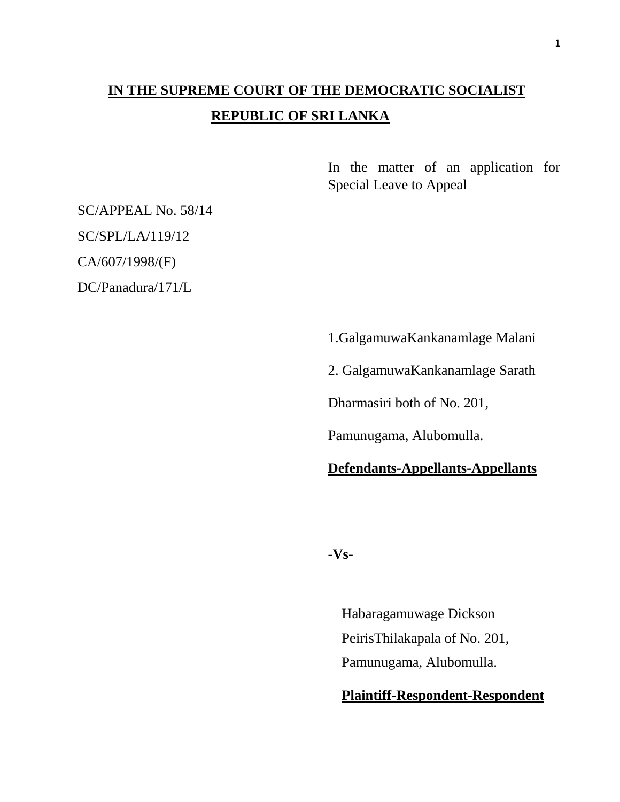# **IN THE SUPREME COURT OF THE DEMOCRATIC SOCIALIST REPUBLIC OF SRI LANKA**

In the matter of an application for Special Leave to Appeal

SC/APPEAL No. 58/14

SC/SPL/LA/119/12

CA/607/1998/(F)

DC/Panadura/171/L

1.GalgamuwaKankanamlage Malani 2. GalgamuwaKankanamlage Sarath

Dharmasiri both of No. 201,

Pamunugama, Alubomulla.

## **Defendants-Appellants-Appellants**

-**Vs-**

Habaragamuwage Dickson PeirisThilakapala of No. 201, Pamunugama, Alubomulla.

## **Plaintiff-Respondent-Respondent**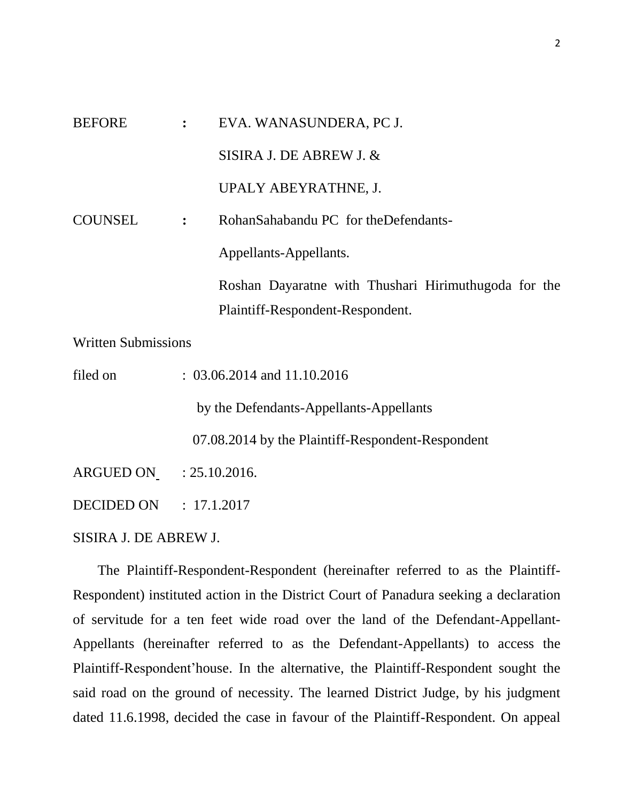| <b>BEFORE</b>  | $\ddot{\cdot}$ | EVA. WANASUNDERA, PC J.                                                                  |
|----------------|----------------|------------------------------------------------------------------------------------------|
|                |                | SISIRA J. DE ABREW J. $&$                                                                |
|                |                | UPALY ABEYRATHNE, J.                                                                     |
| <b>COUNSEL</b> | $\ddot{\cdot}$ | RohanSahabandu PC for theDefendants-                                                     |
|                |                | Appellants-Appellants.                                                                   |
|                |                | Roshan Dayaratne with Thushari Hirimuthugoda for the<br>Plaintiff-Respondent-Respondent. |

Written Submissions

filed on : 03.06.2014 and 11.10.2016

by the Defendants-Appellants-Appellants

07.08.2014 by the Plaintiff-Respondent-Respondent

ARGUED ON : 25.10.2016.

DECIDED ON : 17.1.2017

SISIRA J. DE ABREW J.

 The Plaintiff-Respondent-Respondent (hereinafter referred to as the Plaintiff-Respondent) instituted action in the District Court of Panadura seeking a declaration of servitude for a ten feet wide road over the land of the Defendant-Appellant-Appellants (hereinafter referred to as the Defendant-Appellants) to access the Plaintiff-Respondent'house. In the alternative, the Plaintiff-Respondent sought the said road on the ground of necessity. The learned District Judge, by his judgment dated 11.6.1998, decided the case in favour of the Plaintiff-Respondent. On appeal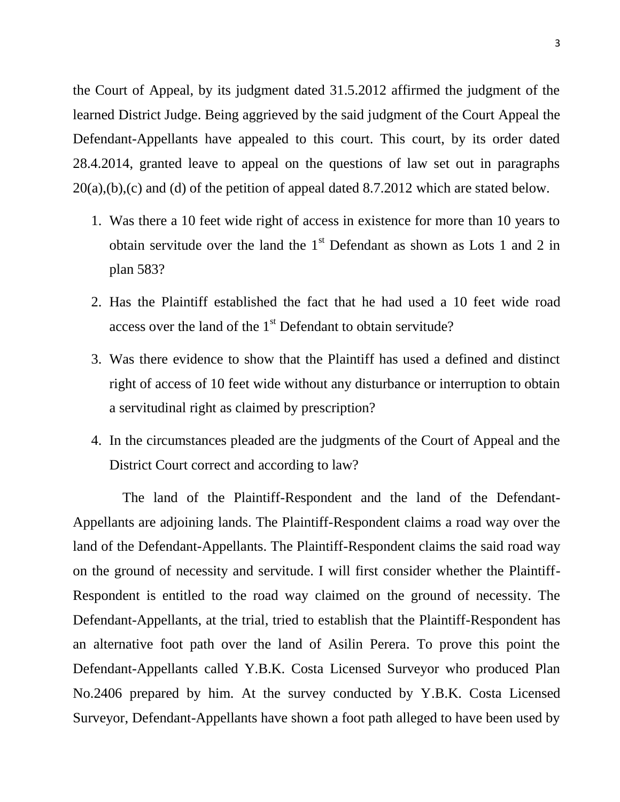the Court of Appeal, by its judgment dated 31.5.2012 affirmed the judgment of the learned District Judge. Being aggrieved by the said judgment of the Court Appeal the Defendant-Appellants have appealed to this court. This court, by its order dated 28.4.2014, granted leave to appeal on the questions of law set out in paragraphs  $20(a)$ ,(b),(c) and (d) of the petition of appeal dated 8.7.2012 which are stated below.

- 1. Was there a 10 feet wide right of access in existence for more than 10 years to obtain servitude over the land the  $1<sup>st</sup>$  Defendant as shown as Lots 1 and 2 in plan 583?
- 2. Has the Plaintiff established the fact that he had used a 10 feet wide road access over the land of the 1<sup>st</sup> Defendant to obtain servitude?
- 3. Was there evidence to show that the Plaintiff has used a defined and distinct right of access of 10 feet wide without any disturbance or interruption to obtain a servitudinal right as claimed by prescription?
- 4. In the circumstances pleaded are the judgments of the Court of Appeal and the District Court correct and according to law?

 The land of the Plaintiff-Respondent and the land of the Defendant-Appellants are adjoining lands. The Plaintiff-Respondent claims a road way over the land of the Defendant-Appellants. The Plaintiff-Respondent claims the said road way on the ground of necessity and servitude. I will first consider whether the Plaintiff-Respondent is entitled to the road way claimed on the ground of necessity. The Defendant-Appellants, at the trial, tried to establish that the Plaintiff-Respondent has an alternative foot path over the land of Asilin Perera. To prove this point the Defendant-Appellants called Y.B.K. Costa Licensed Surveyor who produced Plan No.2406 prepared by him. At the survey conducted by Y.B.K. Costa Licensed Surveyor, Defendant-Appellants have shown a foot path alleged to have been used by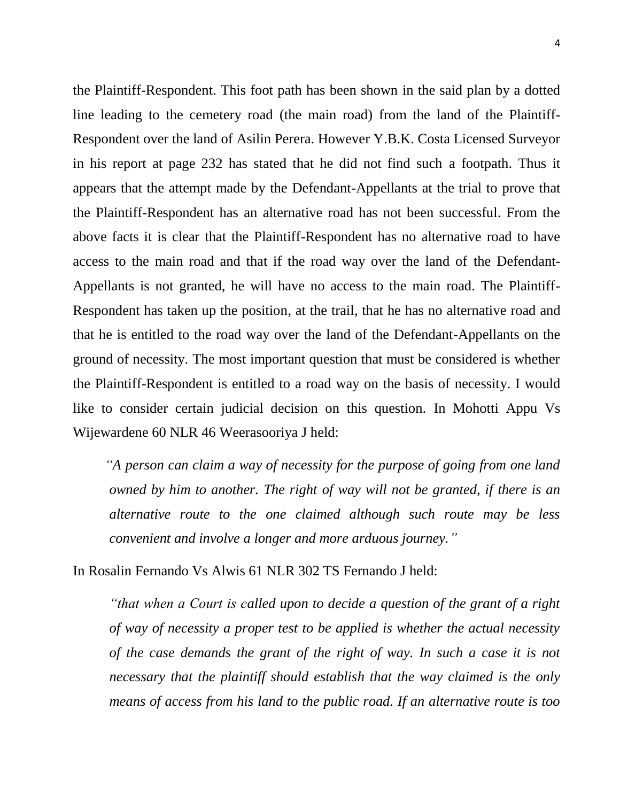the Plaintiff-Respondent. This foot path has been shown in the said plan by a dotted line leading to the cemetery road (the main road) from the land of the Plaintiff-Respondent over the land of Asilin Perera. However Y.B.K. Costa Licensed Surveyor in his report at page 232 has stated that he did not find such a footpath. Thus it appears that the attempt made by the Defendant-Appellants at the trial to prove that the Plaintiff-Respondent has an alternative road has not been successful. From the above facts it is clear that the Plaintiff-Respondent has no alternative road to have access to the main road and that if the road way over the land of the Defendant-Appellants is not granted, he will have no access to the main road. The Plaintiff-Respondent has taken up the position, at the trail, that he has no alternative road and that he is entitled to the road way over the land of the Defendant-Appellants on the ground of necessity. The most important question that must be considered is whether the Plaintiff-Respondent is entitled to a road way on the basis of necessity. I would like to consider certain judicial decision on this question. In Mohotti Appu Vs Wijewardene 60 NLR 46 Weerasooriya J held:

 *"A person can claim a way of necessity for the purpose of going from one land owned by him to another. The right of way will not be granted, if there is an alternative route to the one claimed although such route may be less convenient and involve a longer and more arduous journey."*

In Rosalin Fernando Vs Alwis 61 NLR 302 TS Fernando J held:

*"that when a Court is called upon to decide a question of the grant of a right of way of necessity a proper test to be applied is whether the actual necessity of the case demands the grant of the right of way. In such a case it is not necessary that the plaintiff should establish that the way claimed is the only means of access from his land to the public road. If an alternative route is too*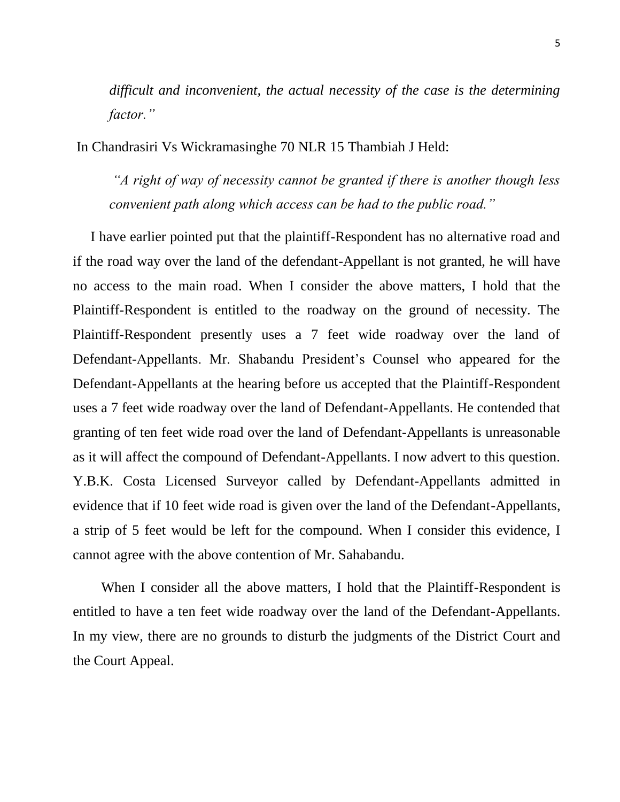*difficult and inconvenient, the actual necessity of the case is the determining factor."*

In Chandrasiri Vs Wickramasinghe 70 NLR 15 Thambiah J Held:

*"A right of way of necessity cannot be granted if there is another though less convenient path along which access can be had to the public road."*

 I have earlier pointed put that the plaintiff-Respondent has no alternative road and if the road way over the land of the defendant-Appellant is not granted, he will have no access to the main road. When I consider the above matters, I hold that the Plaintiff-Respondent is entitled to the roadway on the ground of necessity. The Plaintiff-Respondent presently uses a 7 feet wide roadway over the land of Defendant-Appellants. Mr. Shabandu President's Counsel who appeared for the Defendant-Appellants at the hearing before us accepted that the Plaintiff-Respondent uses a 7 feet wide roadway over the land of Defendant-Appellants. He contended that granting of ten feet wide road over the land of Defendant-Appellants is unreasonable as it will affect the compound of Defendant-Appellants. I now advert to this question. Y.B.K. Costa Licensed Surveyor called by Defendant-Appellants admitted in evidence that if 10 feet wide road is given over the land of the Defendant-Appellants, a strip of 5 feet would be left for the compound. When I consider this evidence, I cannot agree with the above contention of Mr. Sahabandu.

 When I consider all the above matters, I hold that the Plaintiff-Respondent is entitled to have a ten feet wide roadway over the land of the Defendant-Appellants. In my view, there are no grounds to disturb the judgments of the District Court and the Court Appeal.